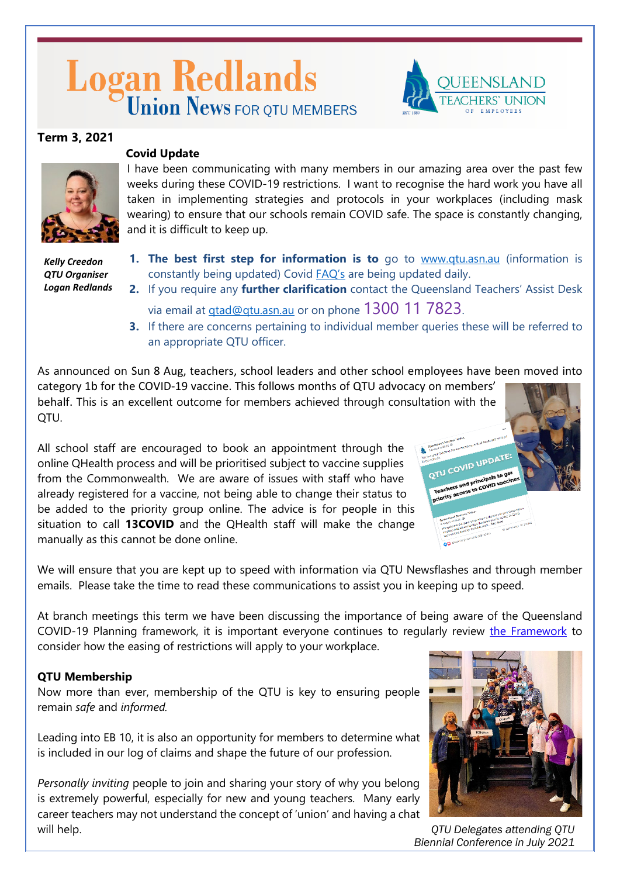# Logan Redlands





# **Covid Update**

I have been communicating with many members in our amazing area over the past few weeks during these COVID-19 restrictions. I want to recognise the hard work you have all taken in implementing strategies and protocols in your workplaces (including mask wearing) to ensure that our schools remain COVID safe. The space is constantly changing, and it is difficult to keep up.

*Kelly Creedon QTU Organiser Logan Redlands*

- **1. The best first step for information is to** go to [www.qtu.asn.au](http://www.qtu.asn.au/) (information is constantly being updated) Covid **FAQ's** are being updated daily.
- **2.** If you require any **further clarification** contact the Queensland Teachers' Assist Desk via email at [qtad@qtu.asn.au](mailto:qtad@qtu.asn.au) or on phone 1300 11 7823.
- **3.** If there are concerns pertaining to individual member queries these will be referred to an appropriate QTU officer.

As announced on Sun 8 Aug, teachers, school leaders and other school employees have been moved into category 1b for the COVID-19 vaccine. This follows months of QTU advocacy on members' behalf. This is an excellent outcome for members achieved through consultation with the

QTU.

All school staff are encouraged to book an appointment through the online QHealth process and will be prioritised subject to vaccine supplies from the Commonwealth. We are aware of issues with staff who have already registered for a vaccine, not being able to change their status to be added to the priority group online. The advice is for people in this situation to call **13COVID** and the QHealth staff will make the change manually as this cannot be done online.

We will ensure that you are kept up to speed with information via QTU Newsflashes and through member emails. Please take the time to read these communications to assist you in keeping up to speed.

At branch meetings this term we have been discussing the importance of being aware of the Queensland COVID-19 Planning framework, it is important everyone continues to regularly review [the Framework](https://www.vision6.com.au/ch/684/2dpgnv1/2490689/4vJfJVbgTfTta4m5VHRmTMu0VYiTzLje5BXtlmPi-1.html) to consider how the easing of restrictions will apply to your workplace.

# **QTU Membership**

Now more than ever, membership of the QTU is key to ensuring people remain *safe* and *informed.*

Leading into EB 10, it is also an opportunity for members to determine what is included in our log of claims and shape the future of our profession.

*Personally inviting* people to join and sharing your story of why you belong is extremely powerful, especially for new and young teachers. Many early career teachers may not understand the concept of 'union' and having a chat will help.



*QTU Delegates attending QTU Biennial Conference in July 2021*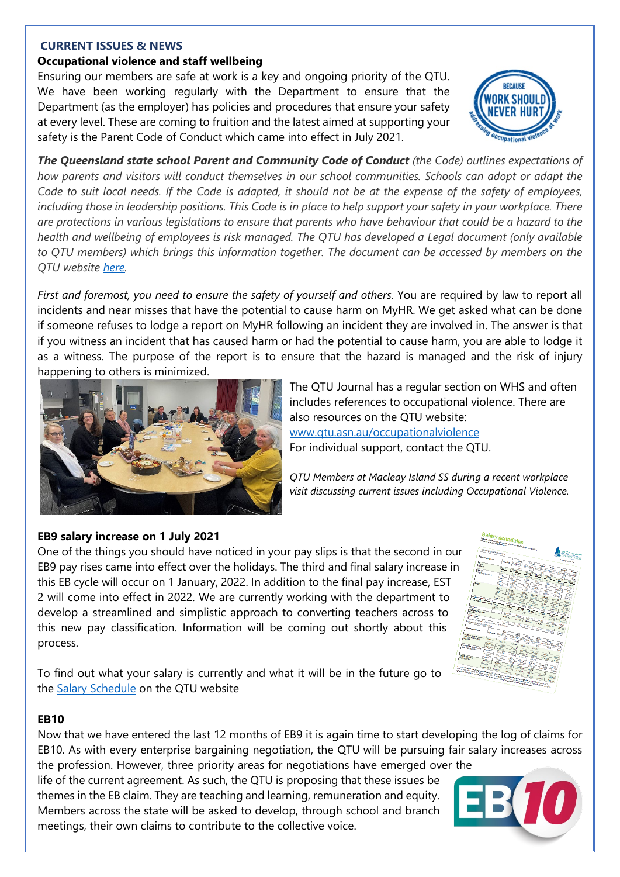### **CURRENT ISSUES & NEWS**

# **Occupational violence and staff wellbeing**

Ensuring our members are safe at work is a key and ongoing priority of the QTU. We have been working regularly with the Department to ensure that the Department (as the employer) has policies and procedures that ensure your safety at every level. These are coming to fruition and the latest aimed at supporting your safety is the Parent Code of Conduct which came into effect in July 2021.



*The Queensland state school Parent and Community Code of Conduct (the Code) outlines expectations of how parents and visitors will conduct themselves in our school communities. Schools can adopt or adapt the Code to suit local needs. If the Code is adapted, it should not be at the expense of the safety of employees, including those in leadership positions. This Code is in place to help support your safety in your workplace. There are protections in various legislations to ensure that parents who have behaviour that could be a hazard to the health and wellbeing of employees is risk managed. The QTU has developed a Legal document (only available to QTU members) which brings this information together. The document can be accessed by members on the QTU website [here.](https://www.qtu.asn.au/application/files/2416/1043/3654/Abuse_of_Teachers_by_Parents_Jan2021.pdf)* 

*First and foremost, you need to ensure the safety of yourself and others.* You are required by law to report all incidents and near misses that have the potential to cause harm on MyHR. We get asked what can be done if someone refuses to lodge a report on MyHR following an incident they are involved in. The answer is that if you witness an incident that has caused harm or had the potential to cause harm, you are able to lodge it as a witness. The purpose of the report is to ensure that the hazard is managed and the risk of injury happening to others is minimized.



The QTU Journal has a regular section on WHS and often includes references to occupational violence. There are also resources on the QTU website: [www.qtu.asn.au/occupationalviolence](http://www.qtu.asn.au/occupationalviolence) For individual support, contact the QTU.

*QTU Members at Macleay Island SS during a recent workplace visit discussing current issues including Occupational Violence.*

# **EB9 salary increase on 1 July 2021**

One of the things you should have noticed in your pay slips is that the second in our EB9 pay rises came into effect over the holidays. The third and final salary increase in this EB cycle will occur on 1 January, 2022. In addition to the final pay increase, EST 2 will come into effect in 2022. We are currently working with the department to develop a streamlined and simplistic approach to converting teachers across to this new pay classification. Information will be coming out shortly about this process.



To find out what your salary is currently and what it will be in the future go to the **Salary Schedule** on the QTU website

### **EB10**

Now that we have entered the last 12 months of EB9 it is again time to start developing the log of claims for EB10. As with every enterprise bargaining negotiation, the QTU will be pursuing fair salary increases across

the profession. However, three priority areas for negotiations have emerged over the life of the current agreement. As such, the QTU is proposing that these issues be themes in the EB claim. They are teaching and learning, remuneration and equity. Members across the state will be asked to develop, through school and branch meetings, their own claims to contribute to the collective voice.